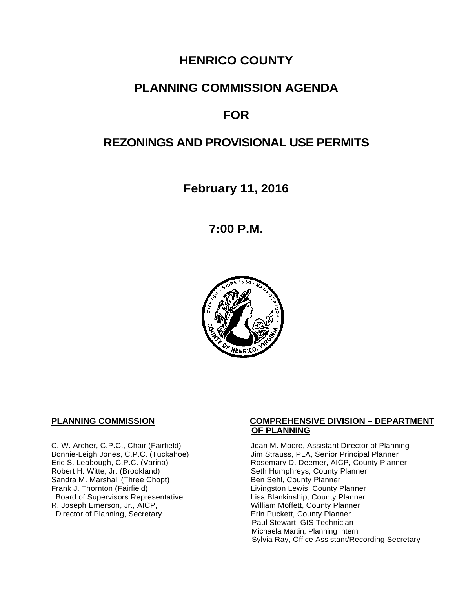# **HENRICO COUNTY**

## **PLANNING COMMISSION AGENDA**

# **FOR**

# **REZONINGS AND PROVISIONAL USE PERMITS**

**February 11, 2016**

**7:00 P.M.**



Sandra M. Marshall (Three Chopt)<br>Frank J. Thornton (Fairfield) Board of Supervisors Representative Fig. 2016 Lisa Blankinship, County Planner<br>Lisa Blankinship, County Planner (2008). Lisa Blankinship, County Planner (2009). R. Joseph Emerson, Jr., AICP, <br>
Director of Planning, Secretary 
William Moffett, County Planner Director of Planning, Secretary

#### **PLANNING COMMISSION COMPREHENSIVE DIVISION – DEPARTMENT OF PLANNING**

C. W. Archer, C.P.C., Chair (Fairfield) Jean M. Moore, Assistant Director of Planning<br>Bonnie-Leigh Jones, C.P.C. (Tuckahoe) Jim Strauss, PLA, Senior Principal Planner Bonnie-Leigh Jones, C.P.C. (Tuckahoe) Jim Strauss, PLA, Senior Principal Planner<br>Eric S. Leabough, C.P.C. (Varina) Rosemary D. Deemer, AICP, County Planne Eric S. Leabough, C.P.C. (Varina) The Rosemary D. Deemer, AICP, County Planner<br>Robert H. Witte, Jr. (Brookland) The Seth Humphreys, County Planner Seth Humphreys, County Planner<br>Ben Sehl, County Planner Livingston Lewis, County Planner Paul Stewart, GIS Technician Michaela Martin, Planning Intern Sylvia Ray, Office Assistant/Recording Secretary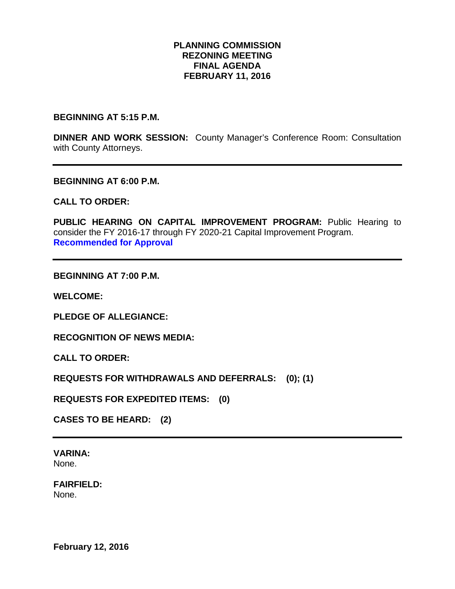#### **PLANNING COMMISSION REZONING MEETING FINAL AGENDA FEBRUARY 11, 2016**

**BEGINNING AT 5:15 P.M.** 

**DINNER AND WORK SESSION:** County Manager's Conference Room: Consultation with County Attorneys.

**BEGINNING AT 6:00 P.M.**

**CALL TO ORDER:**

PUBLIC HEARING ON CAPITAL IMPROVEMENT PROGRAM: Public Hearing to consider the FY 2016-17 through FY 2020-21 Capital Improvement Program. **Recommended for Approval**

**BEGINNING AT 7:00 P.M.**

**WELCOME:**

**PLEDGE OF ALLEGIANCE:**

**RECOGNITION OF NEWS MEDIA:**

**CALL TO ORDER:**

**REQUESTS FOR WITHDRAWALS AND DEFERRALS: (0); (1)**

**REQUESTS FOR EXPEDITED ITEMS: (0)**

**CASES TO BE HEARD: (2)**

**VARINA:** None.

**FAIRFIELD:**  None.

**February 12, 2016**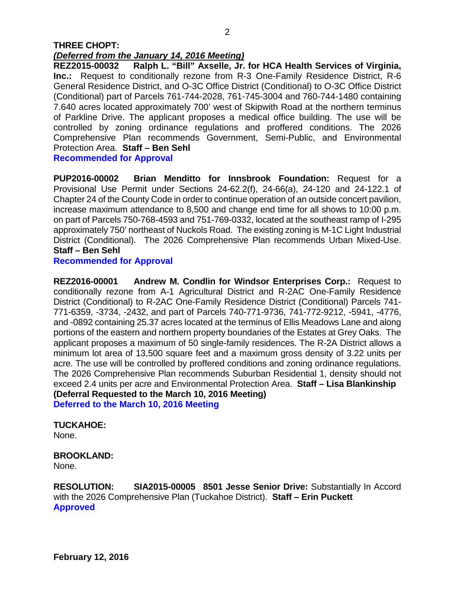#### **THREE CHOPT:**  *(Deferred from the January 14, 2016 Meeting)*

**REZ2015-00032 Ralph L. "Bill" Axselle, Jr. for HCA Health Services of Virginia, Inc.:** Request to conditionally rezone from R-3 One-Family Residence District, R-6 General Residence District, and O-3C Office District (Conditional) to O-3C Office District (Conditional) part of Parcels 761-744-2028, 761-745-3004 and 760-744-1480 containing 7.640 acres located approximately 700' west of Skipwith Road at the northern terminus of Parkline Drive. The applicant proposes a medical office building. The use will be controlled by zoning ordinance regulations and proffered conditions. The 2026 Comprehensive Plan recommends Government, Semi-Public, and Environmental Protection Area. **Staff – Ben Sehl Recommended for Approval**

**PUP2016-00002 Brian Menditto for Innsbrook Foundation:** Request for a Provisional Use Permit under Sections 24-62.2(f), 24-66(a), 24-120 and 24-122.1 of Chapter 24 of the County Code in order to continue operation of an outside concert pavilion, increase maximum attendance to 8,500 and change end time for all shows to 10:00 p.m. on part of Parcels 750-768-4593 and 751-769-0332, located at the southeast ramp of I-295 approximately 750' northeast of Nuckols Road. The existing zoning is M-1C Light Industrial District (Conditional). The 2026 Comprehensive Plan recommends Urban Mixed-Use. **Staff – Ben Sehl**

### **Recommended for Approval**

**REZ2016-00001 Andrew M. Condlin for Windsor Enterprises Corp.:** Request to conditionally rezone from A-1 Agricultural District and R-2AC One-Family Residence District (Conditional) to R-2AC One-Family Residence District (Conditional) Parcels 741- 771-6359, -3734, -2432, and part of Parcels 740-771-9736, 741-772-9212, -5941, -4776, and -0892 containing 25.37 acres located at the terminus of Ellis Meadows Lane and along portions of the eastern and northern property boundaries of the Estates at Grey Oaks. The applicant proposes a maximum of 50 single-family residences. The R-2A District allows a minimum lot area of 13,500 square feet and a maximum gross density of 3.22 units per acre. The use will be controlled by proffered conditions and zoning ordinance regulations. The 2026 Comprehensive Plan recommends Suburban Residential 1, density should not exceed 2.4 units per acre and Environmental Protection Area. **Staff – Lisa Blankinship (Deferral Requested to the March 10, 2016 Meeting) Deferred to the March 10, 2016 Meeting**

## **TUCKAHOE:**

None.

## **BROOKLAND:**

None.

**RESOLUTION: SIA2015-00005 8501 Jesse Senior Drive:** Substantially In Accord with the 2026 Comprehensive Plan (Tuckahoe District). **Staff – Erin Puckett Approved**